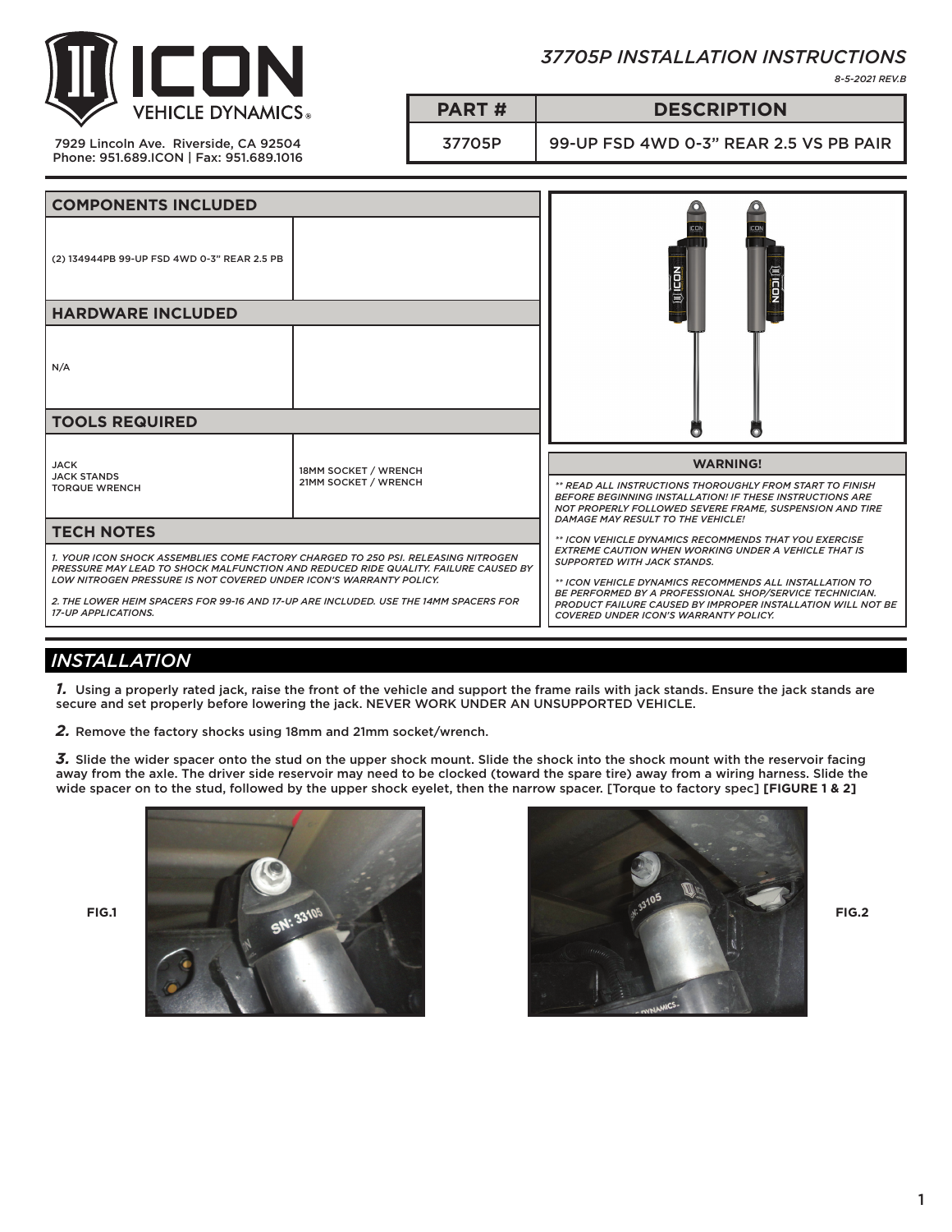

## *37705P INSTALLATION INSTRUCTIONS*

*8-5-2021 REV.B*

7929 Lincoln Ave. Riverside, CA 92504 Phone: 951.689.ICON | Fax: 951.689.1016

# **PART # DESCRIPTION**

37705P 99-UP FSD 4WD 0-3" REAR 2.5 VS PB PAIR

| <b>COMPONENTS INCLUDED</b>                                                                                                                                                                                                                                                                                                                                          |                                              |                                                                                                                                                                                                                                                                                                                                                                                                                                      |
|---------------------------------------------------------------------------------------------------------------------------------------------------------------------------------------------------------------------------------------------------------------------------------------------------------------------------------------------------------------------|----------------------------------------------|--------------------------------------------------------------------------------------------------------------------------------------------------------------------------------------------------------------------------------------------------------------------------------------------------------------------------------------------------------------------------------------------------------------------------------------|
| (2) 134944PB 99-UP FSD 4WD 0-3" REAR 2.5 PB                                                                                                                                                                                                                                                                                                                         |                                              | <b>OLICON</b>                                                                                                                                                                                                                                                                                                                                                                                                                        |
| <b>HARDWARE INCLUDED</b>                                                                                                                                                                                                                                                                                                                                            |                                              |                                                                                                                                                                                                                                                                                                                                                                                                                                      |
| N/A                                                                                                                                                                                                                                                                                                                                                                 |                                              |                                                                                                                                                                                                                                                                                                                                                                                                                                      |
| <b>TOOLS REQUIRED</b>                                                                                                                                                                                                                                                                                                                                               |                                              |                                                                                                                                                                                                                                                                                                                                                                                                                                      |
| <b>JACK</b><br><b>JACK STANDS</b><br><b>TORQUE WRENCH</b>                                                                                                                                                                                                                                                                                                           | 18MM SOCKET / WRENCH<br>21MM SOCKET / WRENCH | <b>WARNING!</b><br>** READ ALL INSTRUCTIONS THOROUGHLY FROM START TO FINISH<br><b>BEFORE BEGINNING INSTALLATION! IF THESE INSTRUCTIONS ARE</b><br>NOT PROPERLY FOLLOWED SEVERE FRAME. SUSPENSION AND TIRE                                                                                                                                                                                                                            |
| <b>TECH NOTES</b>                                                                                                                                                                                                                                                                                                                                                   |                                              | DAMAGE MAY RESULT TO THE VEHICLE!<br>** ICON VEHICLE DYNAMICS RECOMMENDS THAT YOU EXERCISE<br><b>EXTREME CAUTION WHEN WORKING UNDER A VEHICLE THAT IS</b><br><b>SUPPORTED WITH JACK STANDS.</b><br>** ICON VEHICLE DYNAMICS RECOMMENDS ALL INSTALLATION TO<br>BE PERFORMED BY A PROFESSIONAL SHOP/SERVICE TECHNICIAN.<br>PRODUCT FAILURE CAUSED BY IMPROPER INSTALLATION WILL NOT BE<br><b>COVERED UNDER ICON'S WARRANTY POLICY.</b> |
| 1. YOUR ICON SHOCK ASSEMBLIES COME FACTORY CHARGED TO 250 PSI. RELEASING NITROGEN<br>PRESSURE MAY LEAD TO SHOCK MALFUNCTION AND REDUCED RIDE QUALITY. FAILURE CAUSED BY<br>LOW NITROGEN PRESSURE IS NOT COVERED UNDER ICON'S WARRANTY POLICY.<br>2. THE LOWER HEIM SPACERS FOR 99-16 AND 17-UP ARE INCLUDED. USE THE 14MM SPACERS FOR<br><b>17-UP APPLICATIONS.</b> |                                              |                                                                                                                                                                                                                                                                                                                                                                                                                                      |

# *INSTALLATION*

*1.* Using a properly rated jack, raise the front of the vehicle and support the frame rails with jack stands. Ensure the jack stands are secure and set properly before lowering the jack. NEVER WORK UNDER AN UNSUPPORTED VEHICLE.

*2.* Remove the factory shocks using 18mm and 21mm socket/wrench.

*3.* Slide the wider spacer onto the stud on the upper shock mount. Slide the shock into the shock mount with the reservoir facing away from the axle. The driver side reservoir may need to be clocked (toward the spare tire) away from a wiring harness. Slide the wide spacer on to the stud, followed by the upper shock eyelet, then the narrow spacer. [Torque to factory spec] **[FIGURE 1 & 2]**